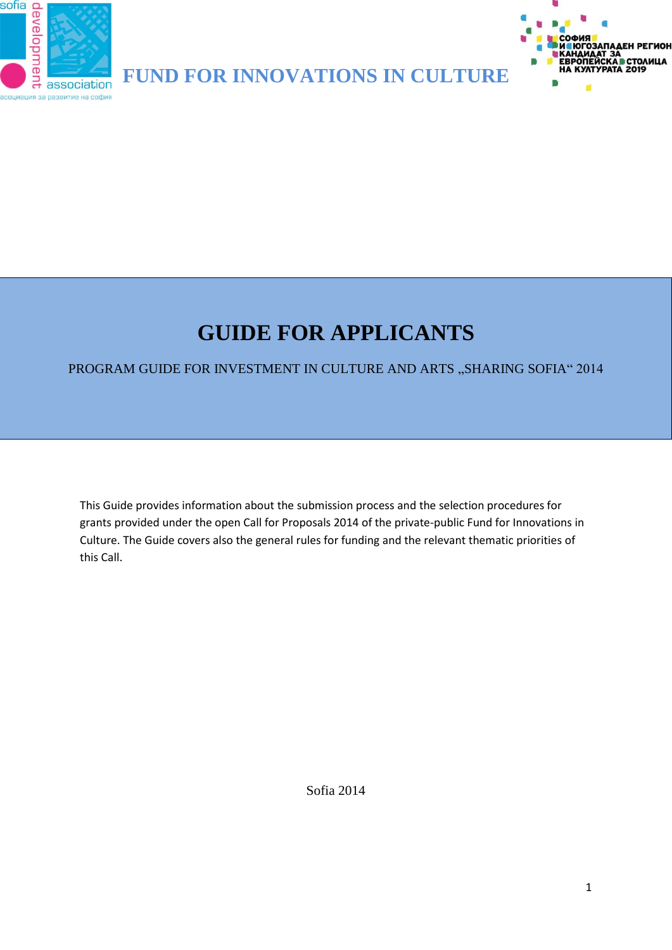

**FUND FOR INNOVATIONS IN CULTURE**



# **GUIDE FOR APPLICANTS**

## PROGRAM GUIDE FOR INVESTMENT IN CULTURE AND ARTS "SHARING SOFIA" 2014

This Guide provides information about the submission process and the selection procedures for grants provided under the open Call for Proposals 2014 of the private-public Fund for Innovations in Culture. The Guide covers also the general rules for funding and the relevant thematic priorities of this Call.

Sofia 2014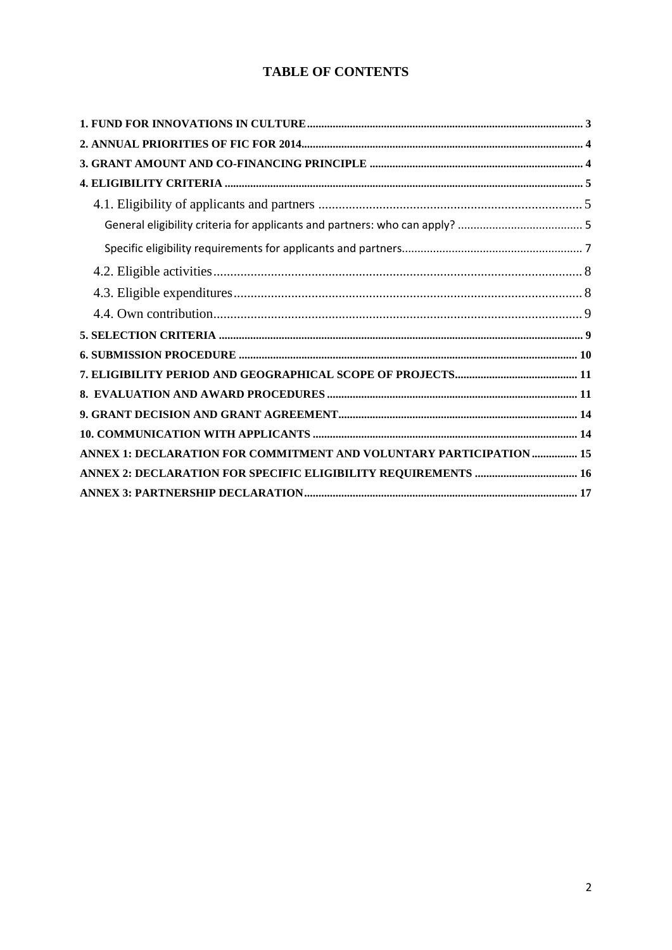## **TABLE OF CONTENTS**

| ANNEX 1: DECLARATION FOR COMMITMENT AND VOLUNTARY PARTICIPATION 15 |  |
|--------------------------------------------------------------------|--|
|                                                                    |  |
|                                                                    |  |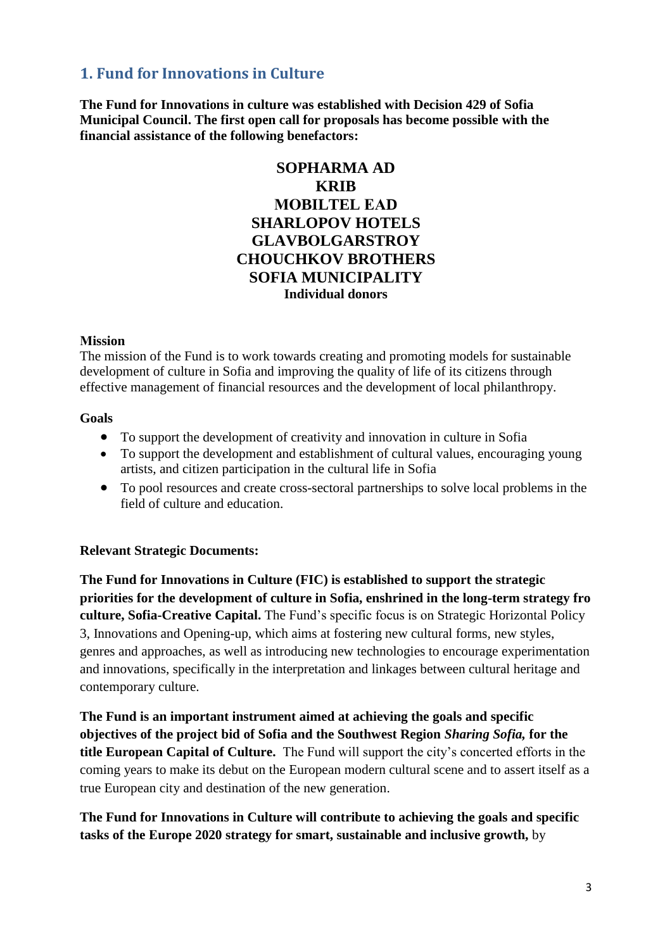# <span id="page-2-0"></span>**1. Fund for Innovations in Culture**

**The Fund for Innovations in culture was established with Decision 429 of Sofia Municipal Council. The first open call for proposals has become possible with the financial assistance of the following benefactors:**

## **SOPHARMA AD KRIB МОBILTEL ЕАD SHARLOPOV HOTELS GLAVBОLGARSTROY CHOUCHKOV BROTHERS SOFIA MUNICIPALITY Individual donors**

#### **Мission**

The mission of the Fund is to work towards creating and promoting models for sustainable development of culture in Sofia and improving the quality of life of its citizens through effective management of financial resources and the development of local philanthropy.

#### **Goals**

- To support the development of creativity and innovation in culture in Sofia
- To support the development and establishment of cultural values, encouraging young artists, and citizen participation in the cultural life in Sofia
- To pool resources and create cross-sectoral partnerships to solve local problems in the field of culture and education.

#### **Relevant Strategic Documents:**

**The Fund for Innovations in Culture (FIC) is established to support the strategic priorities for the development of culture in Sofia, enshrined in the long-term strategy fro culture, Sofia-Creative Capital.** The Fund's specific focus is on Strategic Horizontal Policy 3, Innovations and Opening-up, which aims at fostering new cultural forms, new styles, genres and approaches, as well as introducing new technologies to encourage experimentation and innovations, specifically in the interpretation and linkages between cultural heritage and contemporary culture.

**The Fund is an important instrument aimed at achieving the goals and specific objectives of the project bid of Sofia and the Southwest Region** *Sharing Sofia,* **for the title European Capital of Culture.** The Fund will support the city's concerted efforts in the coming years to make its debut on the European modern cultural scene and to assert itself as a true European city and destination of the new generation.

**The Fund for Innovations in Culture will contribute to achieving the goals and specific tasks of the Еurope 2020 strategy for smart, sustainable and inclusive growth,** by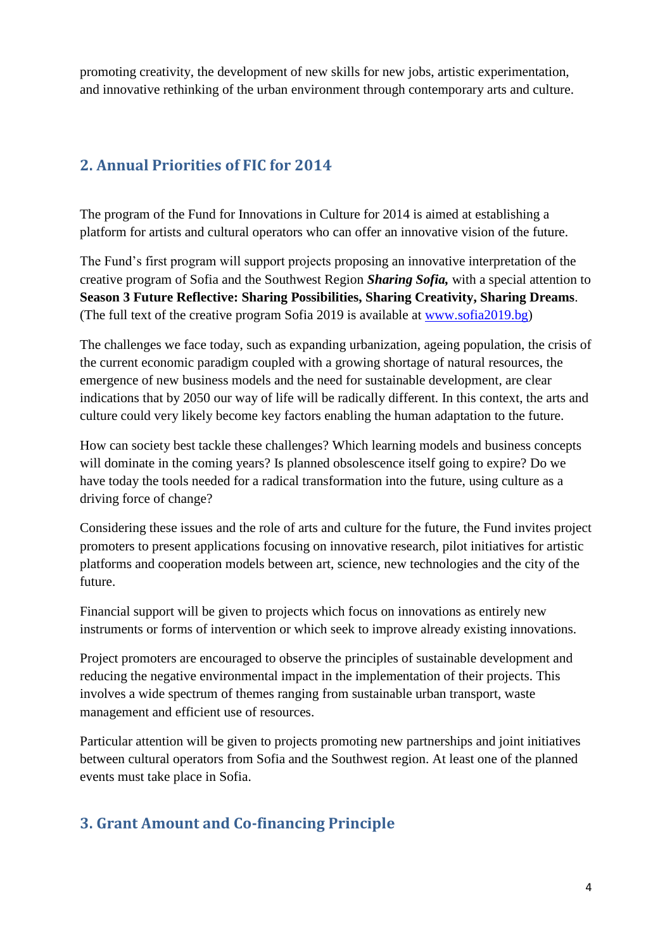promoting creativity, the development of new skills for new jobs, artistic experimentation, and innovative rethinking of the urban environment through contemporary arts and culture.

# <span id="page-3-0"></span>**2. Annual Priorities of FIC for 2014**

The program of the Fund for Innovations in Culture for 2014 is aimed at establishing a platform for artists and cultural operators who can offer an innovative vision of the future.

The Fund's first program will support projects proposing an innovative interpretation of the creative program of Sofia and the Southwest Region *Sharing Sofia,* with a special attention to **Season 3 Future Reflective: Sharing Possibilities, Sharing Creativity, Sharing Dreams**. (The full text of the creative program Sofia 2019 is available at [www.sofia2019.bg\)](http://www.sofia2019.bg/)

The challenges we face today, such as expanding urbanization, ageing population, the crisis of the current economic paradigm coupled with a growing shortage of natural resources, the emergence of new business models and the need for sustainable development, are clear indications that by 2050 our way of life will be radically different. In this context, the arts and culture could very likely become key factors enabling the human adaptation to the future.

How can society best tackle these challenges? Which learning models and business concepts will dominate in the coming years? Is planned obsolescence itself going to expire? Do we have today the tools needed for a radical transformation into the future, using culture as a driving force of change?

Considering these issues and the role of arts and culture for the future, the Fund invites project promoters to present applications focusing on innovative research, pilot initiatives for artistic platforms and cooperation models between art, science, new technologies and the city of the future.

Financial support will be given to projects which focus on innovations as entirely new instruments or forms of intervention or which seek to improve already existing innovations.

Project promoters are encouraged to observe the principles of sustainable development and reducing the negative environmental impact in the implementation of their projects. This involves a wide spectrum of themes ranging from sustainable urban transport, waste management and efficient use of resources.

Particular attention will be given to projects promoting new partnerships and joint initiatives between cultural operators from Sofia and the Southwest region. At least one of the planned events must take place in Sofia.

# <span id="page-3-1"></span>**3. Grant Amount and Co-financing Principle**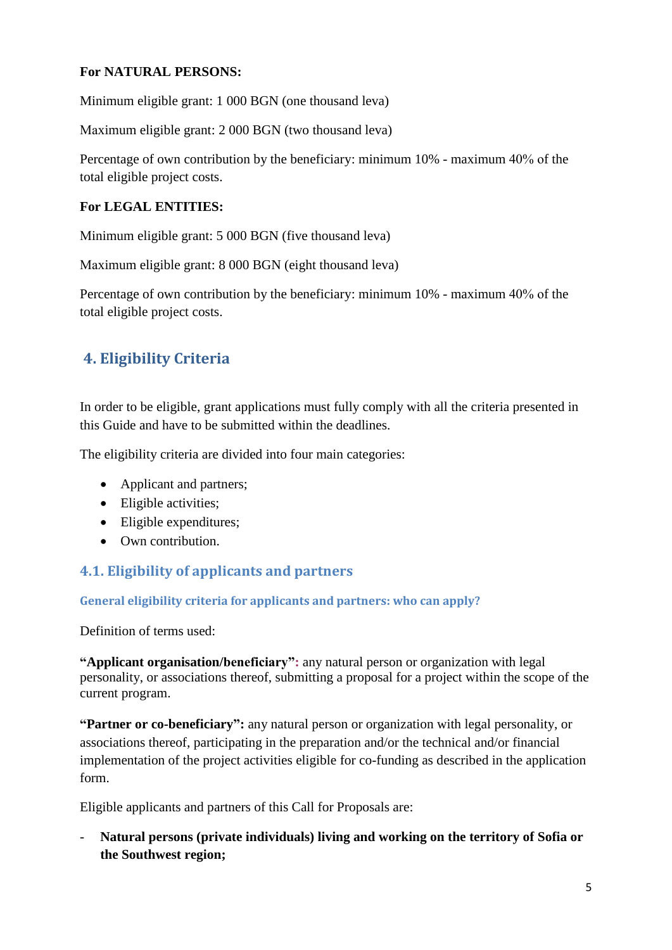#### **For NATURAL PERSONS:**

Minimum eligible grant: 1 000 BGN (one thousand leva)

Maximum eligible grant: 2 000 BGN (two thousand leva)

Percentage of own contribution by the beneficiary: minimum 10% - maximum 40% оf the total eligible project costs.

#### **For LEGAL ENTITIES:**

Minimum eligible grant: 5 000 BGN (five thousand leva)

Maximum eligible grant: 8 000 BGN (eight thousand leva)

Percentage of own contribution by the beneficiary: minimum 10% - maximum 40% оf the total eligible project costs.

# <span id="page-4-0"></span>**4. Eligibility Criteria**

In order to be eligible, grant applications must fully comply with all the criteria presented in this Guide and have to be submitted within the deadlines.

The eligibility criteria are divided into four main categories:

- Applicant and partners;
- Eligible activities;
- Eligible expenditures:
- Own contribution.

# <span id="page-4-1"></span>**4.1. Eligibility of applicants and partners**

<span id="page-4-2"></span>**General eligibility criteria for applicants and partners: who can apply?** 

Definition of terms used:

**"Applicant organisation/beneficiary":** any natural person or organization with legal personality, or associations thereof, submitting a proposal for a project within the scope of the current program.

**"Partner or co-beneficiary":** any natural person or organization with legal personality, or associations thereof, participating in the preparation and/or the technical and/or financial implementation of the project activities eligible for co-funding as described in the application form.

Eligible applicants and partners of this Call for Proposals are:

- **Natural persons (private individuals) living and working on the territory of Sofia or the Southwest region;**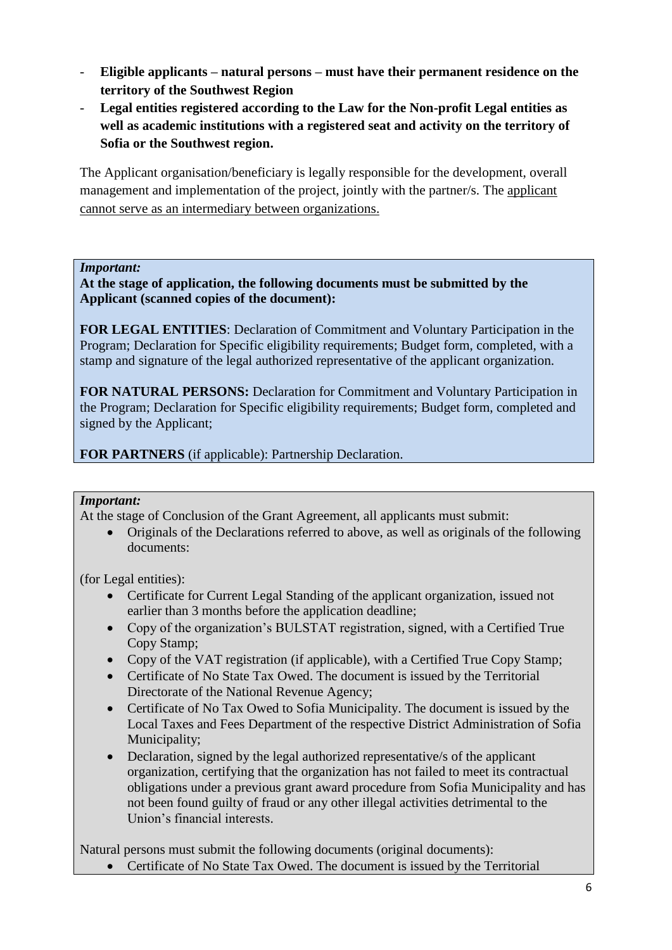- **Eligible applicants – natural persons – must have their permanent residence on the territory of the Southwest Region**
- **Legal entities registered according to the Law for the Non-profit Legal entities as well as academic institutions with a registered seat and activity on the territory of Sofia or the Southwest region.**

The Applicant organisation/beneficiary is legally responsible for the development, overall management and implementation of the project, jointly with the partner/s. The applicant cannot serve as an intermediary between organizations.

#### *Important:*

**At the stage of application, the following documents must be submitted by the Applicant (scanned copies of the document):**

**FOR LEGAL ENTITIES**: Declaration of Commitment and Voluntary Participation in the Program; Declaration for Specific eligibility requirements; Budget form, completed, with a stamp and signature of the legal authorized representative of the applicant organization.

**FOR NATURAL PERSONS:** Declaration for Commitment and Voluntary Participation in the Program; Declaration for Specific eligibility requirements; Budget form, completed and signed by the Applicant;

**FOR PARTNERS** (if applicable): Partnership Declaration.

#### *Important:*

At the stage of Conclusion of the Grant Agreement, all applicants must submit:

 Originals of the Declarations referred to above, as well as originals of the following documents:

(for Legal entities):

- Certificate for Current Legal Standing of the applicant organization, issued not earlier than 3 months before the application deadline;
- Copy of the organization's BULSTAT registration, signed, with a Certified True Copy Stamp;
- Copy of the VAT registration (if applicable), with a Certified True Copy Stamp;
- Certificate of No State Tax Owed. The document is issued by the Territorial Directorate of the National Revenue Agency;
- Certificate of No Tax Owed to Sofia Municipality. The document is issued by the Local Taxes and Fees Department of the respective District Administration of Sofia Municipality;
- Declaration, signed by the legal authorized representative/s of the applicant organization, certifying that the organization has not failed to meet its contractual obligations under a previous grant award procedure from Sofia Municipality and has not been found guilty of fraud or any other illegal activities detrimental to the Union's financial interests.

Natural persons must submit the following documents (original documents):

• Certificate of No State Tax Owed. The document is issued by the Territorial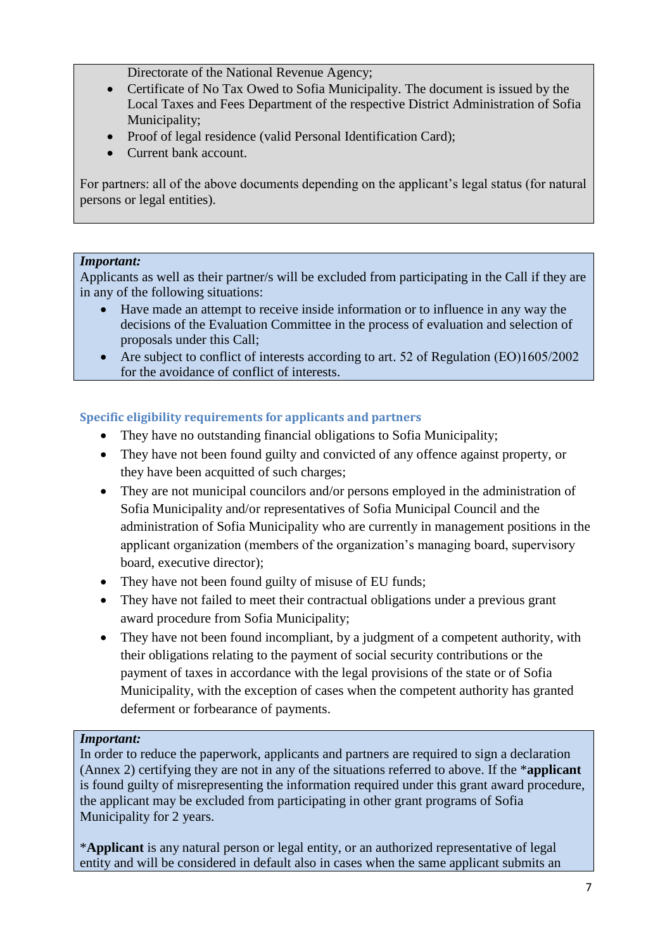Directorate of the National Revenue Agency;

- Certificate of No Tax Owed to Sofia Municipality. The document is issued by the Local Taxes and Fees Department of the respective District Administration of Sofia Municipality;
- Proof of legal residence (valid Personal Identification Card);
- Current bank account.

For partners: all of the above documents depending on the applicant's legal status (for natural persons or legal entities).

#### *Important:*

Applicants as well as their partner/s will be excluded from participating in the Call if they are in any of the following situations:

- Have made an attempt to receive inside information or to influence in any way the decisions of the Evaluation Committee in the process of evaluation and selection of proposals under this Call;
- Are subject to conflict of interests according to art. 52 of Regulation (EO)1605/2002 for the avoidance of conflict of interests.

#### <span id="page-6-0"></span>**Specific eligibility requirements for applicants and partners**

- They have no outstanding financial obligations to Sofia Municipality;
- They have not been found guilty and convicted of any offence against property, or they have been acquitted of such charges;
- They are not municipal councilors and/or persons employed in the administration of Sofia Municipality and/or representatives of Sofia Municipal Council and the administration of Sofia Municipality who are currently in management positions in the applicant organization (members of the organization's managing board, supervisory board, executive director);
- They have not been found guilty of misuse of EU funds;
- They have not failed to meet their contractual obligations under a previous grant award procedure from Sofia Municipality;
- They have not been found incompliant, by a judgment of a competent authority, with their obligations relating to the payment of social security contributions or the payment of taxes in accordance with the legal provisions of the state or of Sofia Municipality, with the exception of cases when the competent authority has granted deferment or forbearance of payments.

#### *Important:*

In order to reduce the paperwork, applicants and partners are required to sign a declaration (Annex 2) certifying they are not in any of the situations referred to above. If the \***applicant** is found guilty of misrepresenting the information required under this grant award procedure, the applicant may be excluded from participating in other grant programs of Sofia Municipality for 2 years.

\***Applicant** is any natural person or legal entity, or an authorized representative of legal entity and will be considered in default also in cases when the same applicant submits an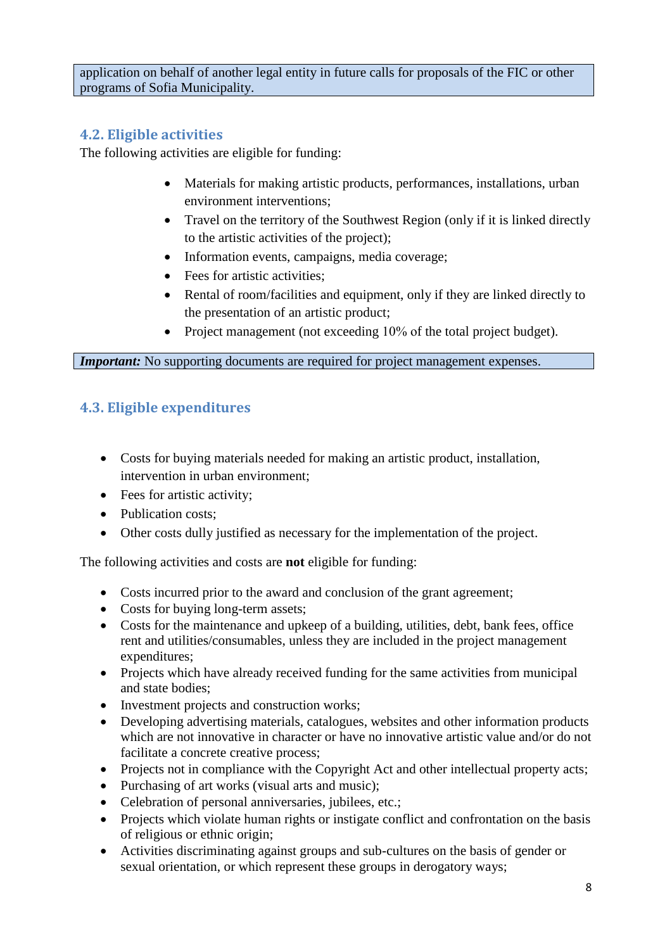application on behalf of another legal entity in future calls for proposals of the FIC or other programs of Sofia Municipality.

## <span id="page-7-0"></span>**4.2. Eligible activities**

The following activities are eligible for funding:

- Materials for making artistic products, performances, installations, urban environment interventions;
- Travel on the territory of the Southwest Region (only if it is linked directly to the artistic activities of the project);
- Information events, campaigns, media coverage;
- Fees for artistic activities:
- Rental of room/facilities and equipment, only if they are linked directly to the presentation of an artistic product;
- Project management (not exceeding 10% of the total project budget).

*Important:* No supporting documents are required for project management expenses.

## <span id="page-7-1"></span>**4.3. Eligible expenditures**

- Costs for buying materials needed for making an artistic product, installation, intervention in urban environment;
- Fees for artistic activity;
- Publication costs:
- Other costs dully justified as necessary for the implementation of the project.

The following activities and costs are **not** eligible for funding:

- Costs incurred prior to the award and conclusion of the grant agreement;
- Costs for buying long-term assets;
- Costs for the maintenance and upkeep of a building, utilities, debt, bank fees, office rent and utilities/consumables, unless they are included in the project management expenditures;
- Projects which have already received funding for the same activities from municipal and state bodies;
- Investment projects and construction works;
- Developing advertising materials, catalogues, websites and other information products which are not innovative in character or have no innovative artistic value and/or do not facilitate a concrete creative process;
- Projects not in compliance with the Copyright Act and other intellectual property acts;
- Purchasing of art works (visual arts and music);
- Celebration of personal anniversaries, jubilees, etc.;
- Projects which violate human rights or instigate conflict and confrontation on the basis of religious or ethnic origin;
- Activities discriminating against groups and sub-cultures on the basis of gender or sexual orientation, or which represent these groups in derogatory ways;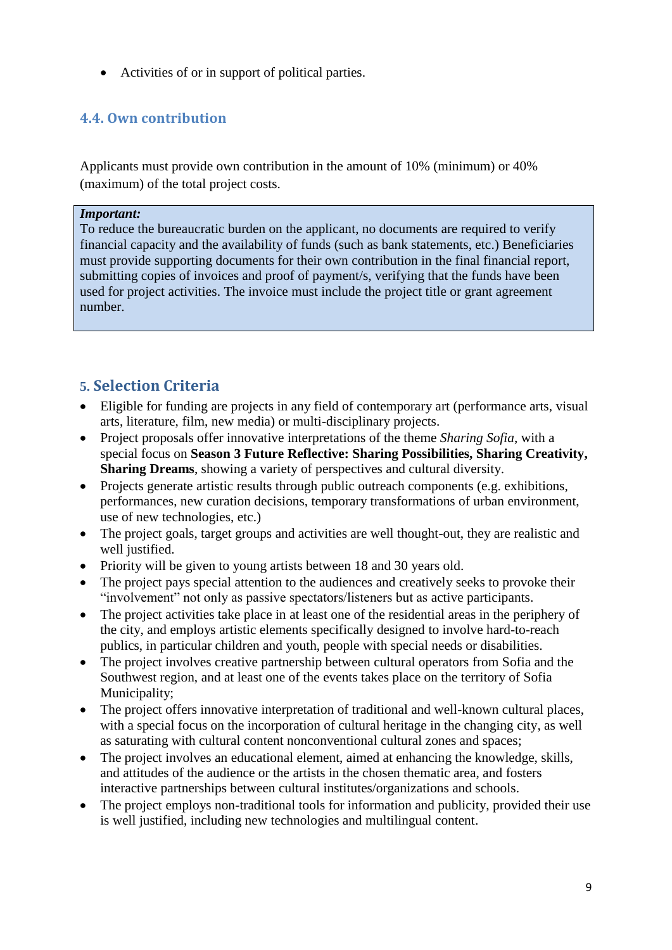Activities of or in support of political parties.

## <span id="page-8-0"></span>**4.4. Own contribution**

Applicants must provide own contribution in the amount of 10% (minimum) or 40% (maximum) of the total project costs.

#### *Important:*

To reduce the bureaucratic burden on the applicant, no documents are required to verify financial capacity and the availability of funds (such as bank statements, etc.) Beneficiaries must provide supporting documents for their own contribution in the final financial report, submitting copies of invoices and proof of payment/s, verifying that the funds have been used for project activities. The invoice must include the project title or grant agreement number.

## <span id="page-8-1"></span>**5. Selection Criteria**

- Eligible for funding are projects in any field of contemporary art (performance arts, visual arts, literature, film, new media) or multi-disciplinary projects.
- Project proposals offer innovative interpretations of the theme *Sharing Sofia*, with a special focus on **Season 3 Future Reflective: Sharing Possibilities, Sharing Creativity, Sharing Dreams**, showing a variety of perspectives and cultural diversity.
- Projects generate artistic results through public outreach components (e.g. exhibitions, performances, new curation decisions, temporary transformations of urban environment, use of new technologies, etc.)
- The project goals, target groups and activities are well thought-out, they are realistic and well justified.
- Priority will be given to young artists between 18 and 30 years old.
- The project pays special attention to the audiences and creatively seeks to provoke their "involvement" not only as passive spectators/listeners but as active participants.
- The project activities take place in at least one of the residential areas in the periphery of the city, and employs artistic elements specifically designed to involve hard-to-reach publics, in particular children and youth, people with special needs or disabilities.
- The project involves creative partnership between cultural operators from Sofia and the Southwest region, and at least one of the events takes place on the territory of Sofia Municipality;
- The project offers innovative interpretation of traditional and well-known cultural places, with a special focus on the incorporation of cultural heritage in the changing city, as well as saturating with cultural content nonconventional cultural zones and spaces;
- The project involves an educational element, aimed at enhancing the knowledge, skills, and attitudes of the audience or the artists in the chosen thematic area, and fosters interactive partnerships between cultural institutes/organizations and schools.
- The project employs non-traditional tools for information and publicity, provided their use is well justified, including new technologies and multilingual content.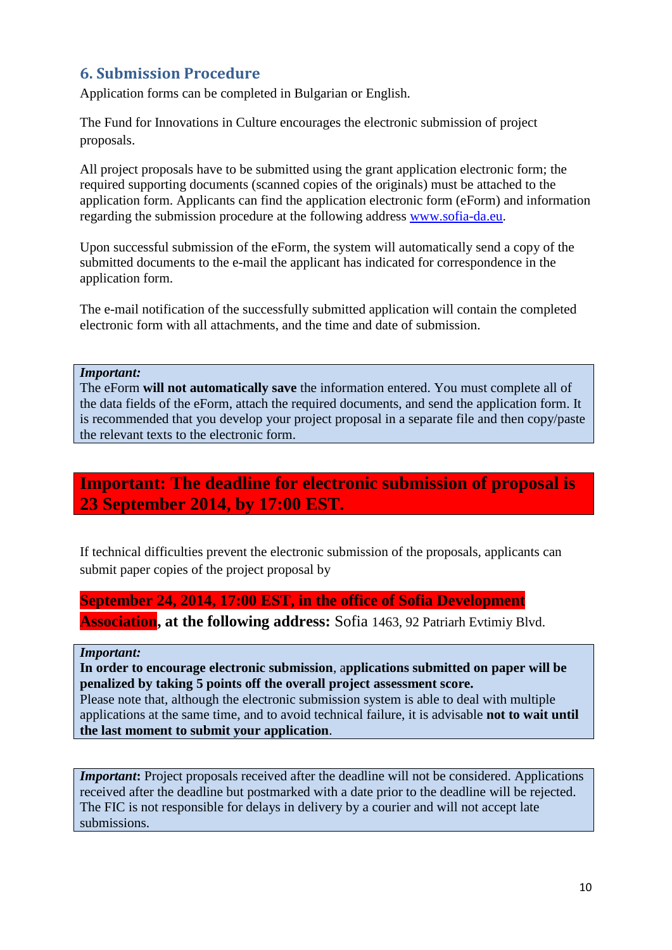# <span id="page-9-0"></span>**6. Submission Procedure**

Application forms can be completed in Bulgarian or English.

The Fund for Innovations in Culture encourages the electronic submission of project proposals.

All project proposals have to be submitted using the grant application electronic form; the required supporting documents (scanned copies of the originals) must be attached to the application form. Applicants can find the application electronic form (eForm) and information regarding the submission procedure at the following address [www.sofia-da.eu.](http://www.sofia-da.eu/)

Upon successful submission of the eForm, the system will automatically send a copy of the submitted documents to the e-mail the applicant has indicated for correspondence in the application form.

The e-mail notification of the successfully submitted application will contain the completed electronic form with all attachments, and the time and date of submission.

*Important:*

The eForm **will not automatically save** the information entered. You must complete all of the data fields of the eForm, attach the required documents, and send the application form. It is recommended that you develop your project proposal in a separate file and then copy/paste the relevant texts to the electronic form.

# **Important: The deadline for electronic submission of proposal is 23 September 2014, by 17:00 EST.**

If technical difficulties prevent the electronic submission of the proposals, applicants can submit paper copies of the project proposal by

#### **September 24, 2014, 17:00 EST, in the office of Sofia Development**

**Association, at the following address:** Sofia 1463, 92 Patriarh Evtimiy Blvd.

*Important:*

**In order to encourage electronic submission**, a**pplications submitted on paper will be penalized by taking 5 points off the overall project assessment score.** 

Please note that, although the electronic submission system is able to deal with multiple applications at the same time, and to avoid technical failure, it is advisable **not to wait until the last moment to submit your application**.

*Important*: Project proposals received after the deadline will not be considered. Applications received after the deadline but postmarked with a date prior to the deadline will be rejected. The FIC is not responsible for delays in delivery by a courier and will not accept late submissions.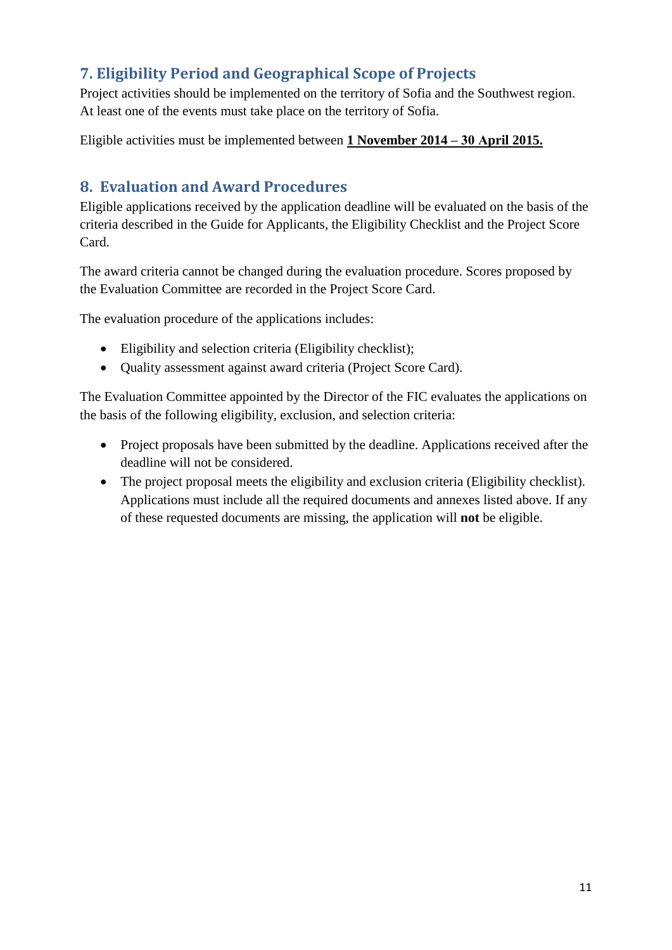# <span id="page-10-0"></span>**7. Eligibility Period and Geographical Scope of Projects**

Project activities should be implemented on the territory of Sofia and the Southwest region. At least one of the events must take place on the territory of Sofia.

Eligible activities must be implemented between **1 November 2014 – 30 Аpril 2015.**

# <span id="page-10-1"></span>**8. Evaluation and Award Procedures**

Eligible applications received by the application deadline will be evaluated on the basis of the criteria described in the Guide for Applicants, the Eligibility Checklist and the Project Score Card.

The award criteria cannot be changed during the evaluation procedure. Scores proposed by the Evaluation Committee are recorded in the Project Score Card.

The evaluation procedure of the applications includes:

- Eligibility and selection criteria (Eligibility checklist);
- Quality assessment against award criteria (Project Score Card).

The Evaluation Committee appointed by the Director of the FIC evaluates the applications on the basis of the following eligibility, exclusion, and selection criteria:

- Project proposals have been submitted by the deadline. Applications received after the deadline will not be considered.
- The project proposal meets the eligibility and exclusion criteria (Eligibility checklist). Applications must include all the required documents and annexes listed above. If any of these requested documents are missing, the application will **not** be eligible.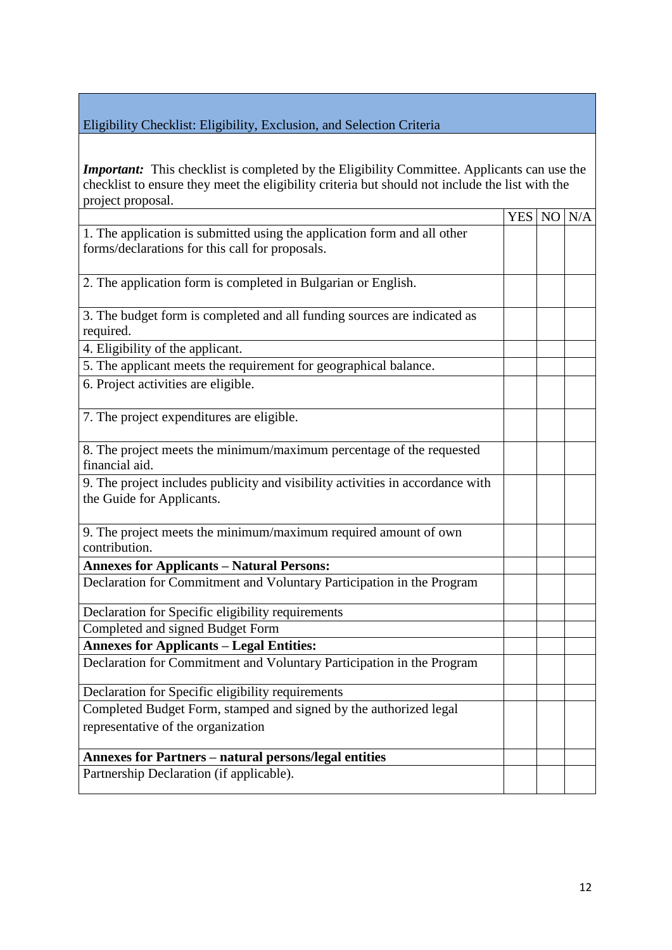#### Eligibility Checklist: Eligibility, Exclusion, and Selection Criteria

*Important:* This checklist is completed by the Eligibility Committee. Applicants can use the checklist to ensure they meet the eligibility criteria but should not include the list with the project proposal.

|                                                                                | YES NO N/A |  |
|--------------------------------------------------------------------------------|------------|--|
| 1. The application is submitted using the application form and all other       |            |  |
| forms/declarations for this call for proposals.                                |            |  |
|                                                                                |            |  |
| 2. The application form is completed in Bulgarian or English.                  |            |  |
|                                                                                |            |  |
| 3. The budget form is completed and all funding sources are indicated as       |            |  |
| required.                                                                      |            |  |
| 4. Eligibility of the applicant.                                               |            |  |
| 5. The applicant meets the requirement for geographical balance.               |            |  |
| 6. Project activities are eligible.                                            |            |  |
|                                                                                |            |  |
| 7. The project expenditures are eligible.                                      |            |  |
|                                                                                |            |  |
| 8. The project meets the minimum/maximum percentage of the requested           |            |  |
| financial aid.                                                                 |            |  |
| 9. The project includes publicity and visibility activities in accordance with |            |  |
| the Guide for Applicants.                                                      |            |  |
|                                                                                |            |  |
| 9. The project meets the minimum/maximum required amount of own                |            |  |
| contribution.                                                                  |            |  |
| <b>Annexes for Applicants - Natural Persons:</b>                               |            |  |
| Declaration for Commitment and Voluntary Participation in the Program          |            |  |
|                                                                                |            |  |
| Declaration for Specific eligibility requirements                              |            |  |
| Completed and signed Budget Form                                               |            |  |
| <b>Annexes for Applicants - Legal Entities:</b>                                |            |  |
| Declaration for Commitment and Voluntary Participation in the Program          |            |  |
|                                                                                |            |  |
| Declaration for Specific eligibility requirements                              |            |  |
| Completed Budget Form, stamped and signed by the authorized legal              |            |  |
| representative of the organization                                             |            |  |
| <b>Annexes for Partners - natural persons/legal entities</b>                   |            |  |
| Partnership Declaration (if applicable).                                       |            |  |
|                                                                                |            |  |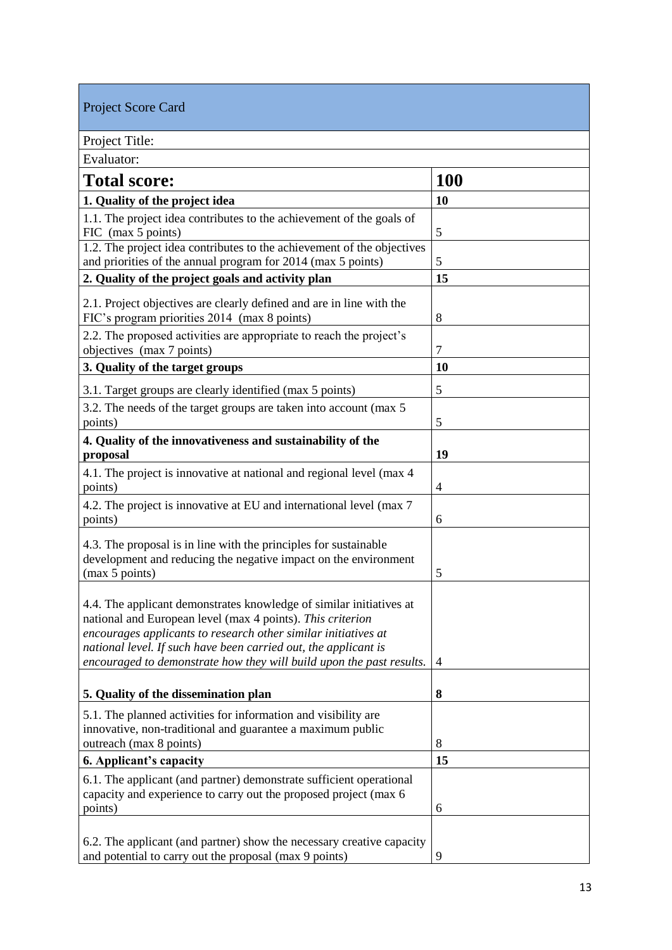| <b>Project Score Card</b>                                                                                                                                                                                                                                                                                                                      |            |
|------------------------------------------------------------------------------------------------------------------------------------------------------------------------------------------------------------------------------------------------------------------------------------------------------------------------------------------------|------------|
| Project Title:                                                                                                                                                                                                                                                                                                                                 |            |
| Evaluator:                                                                                                                                                                                                                                                                                                                                     |            |
| <b>Total score:</b>                                                                                                                                                                                                                                                                                                                            | <b>100</b> |
| 1. Quality of the project idea                                                                                                                                                                                                                                                                                                                 | 10         |
| 1.1. The project idea contributes to the achievement of the goals of<br>FIC (max 5 points)                                                                                                                                                                                                                                                     | 5          |
| 1.2. The project idea contributes to the achievement of the objectives<br>and priorities of the annual program for 2014 (max 5 points)                                                                                                                                                                                                         | 5          |
| 2. Quality of the project goals and activity plan                                                                                                                                                                                                                                                                                              | 15         |
| 2.1. Project objectives are clearly defined and are in line with the<br>FIC's program priorities 2014 (max 8 points)                                                                                                                                                                                                                           | 8          |
| 2.2. The proposed activities are appropriate to reach the project's<br>objectives (max 7 points)                                                                                                                                                                                                                                               | 7          |
| 3. Quality of the target groups                                                                                                                                                                                                                                                                                                                | 10         |
| 3.1. Target groups are clearly identified (max 5 points)                                                                                                                                                                                                                                                                                       | 5          |
| 3.2. The needs of the target groups are taken into account (max 5)<br>points)                                                                                                                                                                                                                                                                  | 5          |
| 4. Quality of the innovativeness and sustainability of the<br>proposal                                                                                                                                                                                                                                                                         | 19         |
| 4.1. The project is innovative at national and regional level (max 4<br>points)                                                                                                                                                                                                                                                                | 4          |
| 4.2. The project is innovative at EU and international level (max 7)<br>points)                                                                                                                                                                                                                                                                | 6          |
| 4.3. The proposal is in line with the principles for sustainable<br>development and reducing the negative impact on the environment<br>(max 5 points)                                                                                                                                                                                          | 5          |
| 4.4. The applicant demonstrates knowledge of similar initiatives at<br>national and European level (max 4 points). This criterion<br>encourages applicants to research other similar initiatives at<br>national level. If such have been carried out, the applicant is<br>encouraged to demonstrate how they will build upon the past results. | 4          |
| 5. Quality of the dissemination plan                                                                                                                                                                                                                                                                                                           | 8          |
| 5.1. The planned activities for information and visibility are<br>innovative, non-traditional and guarantee a maximum public<br>outreach (max 8 points)                                                                                                                                                                                        | 8          |
| 6. Applicant's capacity                                                                                                                                                                                                                                                                                                                        | 15         |
| 6.1. The applicant (and partner) demonstrate sufficient operational<br>capacity and experience to carry out the proposed project (max 6<br>points)                                                                                                                                                                                             | 6          |
| 6.2. The applicant (and partner) show the necessary creative capacity<br>and potential to carry out the proposal (max 9 points)                                                                                                                                                                                                                | 9          |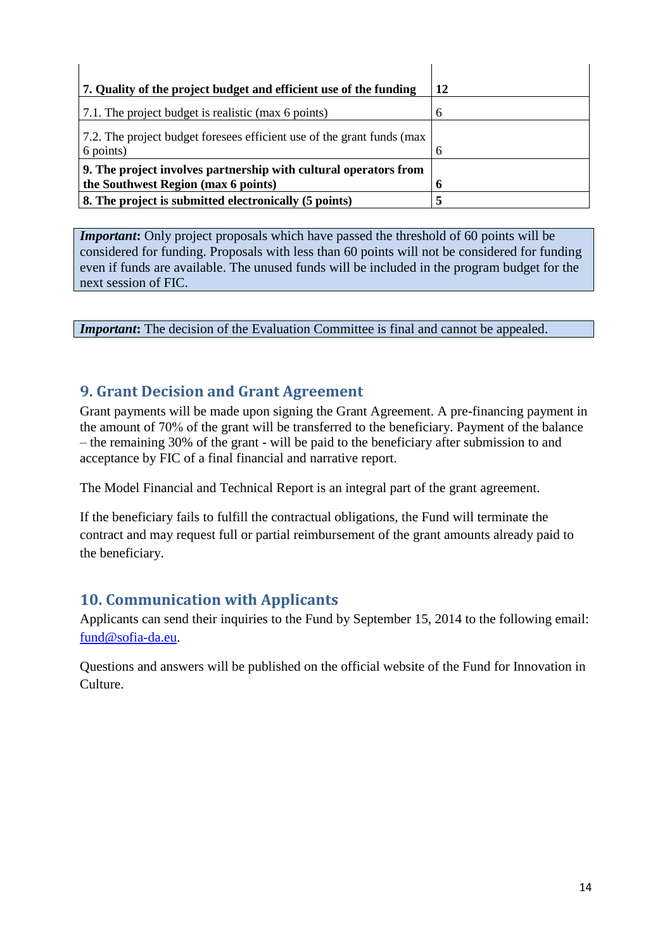| 7. Quality of the project budget and efficient use of the funding                                       | 12 |
|---------------------------------------------------------------------------------------------------------|----|
| 7.1. The project budget is realistic (max 6 points)                                                     | 6  |
| 7.2. The project budget foresees efficient use of the grant funds (max<br>$\frac{1}{2}$ 6 points)       | 6  |
| 9. The project involves partnership with cultural operators from<br>the Southwest Region (max 6 points) | 6  |
| 8. The project is submitted electronically (5 points)                                                   |    |

*Important*: Only project proposals which have passed the threshold of 60 points will be considered for funding. Proposals with less than 60 points will not be considered for funding even if funds are available. The unused funds will be included in the program budget for the next session of FIC.

*Important*: The decision of the Evaluation Committee is final and cannot be appealed.

## <span id="page-13-0"></span>**9. Grant Decision and Grant Agreement**

Grant payments will be made upon signing the Grant Agreement. A pre-financing payment in the amount of 70% оf the grant will be transferred to the beneficiary. Payment of the balance – the remaining 30% of the grant - will be paid to the beneficiary after submission to and acceptance by FIC of a final financial and narrative report.

The Model Financial and Technical Report is an integral part of the grant agreement.

If the beneficiary fails to fulfill the contractual obligations, the Fund will terminate the contract and may request full or partial reimbursement of the grant amounts already paid to the beneficiary.

## <span id="page-13-1"></span>**10. Communication with Applicants**

Applicants can send their inquiries to the Fund by September 15, 2014 to the following email: [fund@sofia-da.eu.](mailto:fund@sofia-da.eu)

Questions and answers will be published on the official website of the Fund for Innovation in Culture.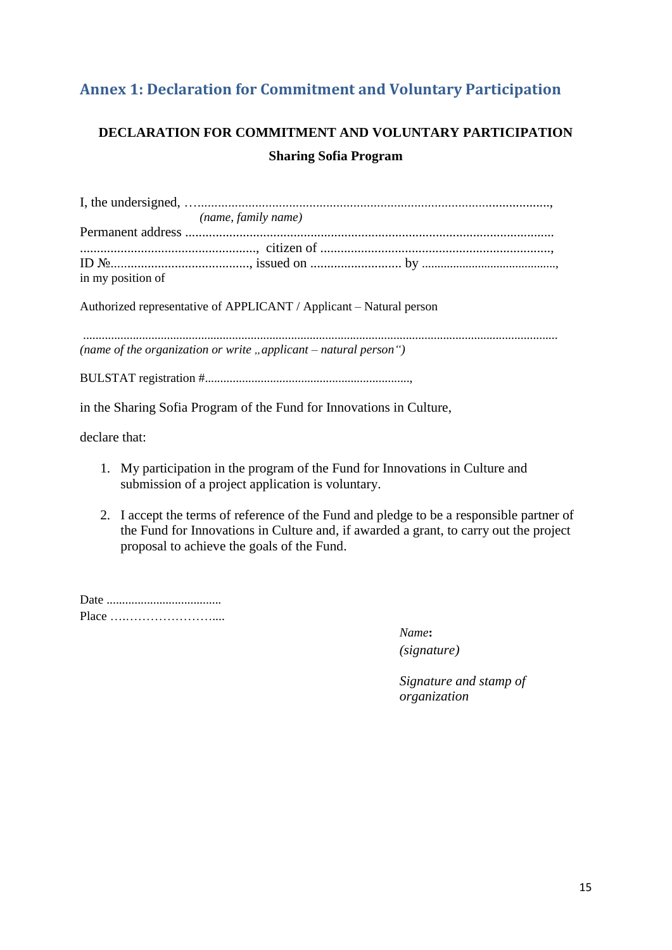# <span id="page-14-0"></span>**Annex 1: Declaration for Commitment and Voluntary Participation**

# **DECLARATION FOR COMMITMENT AND VOLUNTARY PARTICIPATION Sharing Sofia Program**

|                   | (name, family name)                                                 |  |
|-------------------|---------------------------------------------------------------------|--|
|                   |                                                                     |  |
|                   |                                                                     |  |
|                   |                                                                     |  |
| in my position of |                                                                     |  |
|                   |                                                                     |  |
|                   | Authorized representative of APPLICANT / Applicant – Natural person |  |
|                   |                                                                     |  |

......................................................................................................................................................... *(name of the organization or write "applicant – natural person")*

BULSTAT registration #..................................................................,

in the Sharing Sofia Program of the Fund for Innovations in Culture,

declare that:

- 1. My participation in the program of the Fund for Innovations in Culture and submission of a project application is voluntary.
- 2. I accept the terms of reference of the Fund and pledge to be a responsible partner of the Fund for Innovations in Culture and, if awarded a grant, to carry out the project proposal to achieve the goals of the Fund.

| Place |  |
|-------|--|

*Name***:** *(signature)*

*Signature and stamp of organization*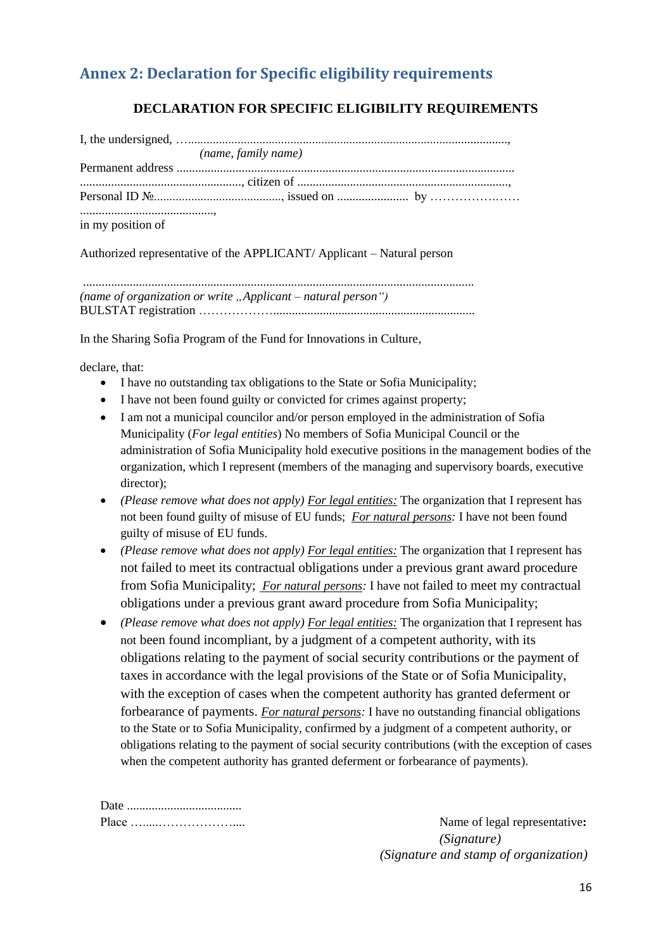# <span id="page-15-0"></span>**Annex 2: Declaration for Specific eligibility requirements**

## **DECLARATION FOR SPECIFIC ELIGIBILITY REQUIREMENTS**

|                   | (name, family name) |  |
|-------------------|---------------------|--|
|                   |                     |  |
|                   |                     |  |
|                   |                     |  |
| in my position of |                     |  |

Authorized representative of the APPLICANT/ Applicant – Natural person

.............................................................................................................................. *(name of organization or write "Applicant – natural person")* BULSTAT registration ……………….................................................................

In the Sharing Sofia Program of the Fund for Innovations in Culture,

declare, that:

- I have no outstanding tax obligations to the State or Sofia Municipality;
- I have not been found guilty or convicted for crimes against property;
- I am not a municipal councilor and/or person employed in the administration of Sofia Municipality (*For legal entities*) No members of Sofia Municipal Council or the administration of Sofia Municipality hold executive positions in the management bodies of the organization, which I represent (members of the managing and supervisory boards, executive director);
- *(Please remove what does not apply) For legal entities:* The organization that I represent has not been found guilty of misuse of EU funds; *For natural persons:* I have not been found guilty of misuse of EU funds.
- *(Please remove what does not apply) For legal entities:* The organization that I represent has not failed to meet its contractual obligations under a previous grant award procedure from Sofia Municipality; *For natural persons:* I have not failed to meet my contractual obligations under a previous grant award procedure from Sofia Municipality;
- *(Please remove what does not apply) For legal entities:* The organization that I represent has not been found incompliant, by a judgment of a competent authority, with its obligations relating to the payment of social security contributions or the payment of taxes in accordance with the legal provisions of the State or of Sofia Municipality, with the exception of cases when the competent authority has granted deferment or forbearance of payments. *For natural persons:* I have no outstanding financial obligations to the State or to Sofia Municipality, confirmed by a judgment of a competent authority, or obligations relating to the payment of social security contributions (with the exception of cases when the competent authority has granted deferment or forbearance of payments).

Name of legal representative: *(Signature) (Signature and stamp of organization)*